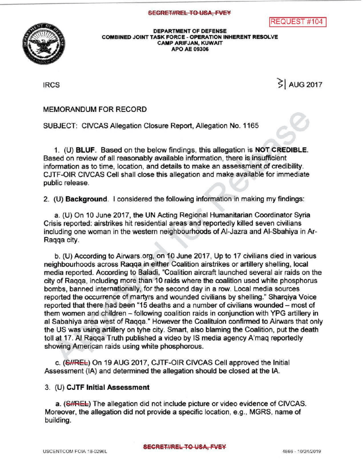



DEPARTMENTOF DEFENSE COMBINED JOINT TASK FORCE - OPERATION INHERENT RESOLVE CAMP ARIFJAN, KUWAIT APO AE 09306

 $|RCS|$  AUG 2017

MEMORANDUM FOR RECORD

SUBJECT: CIVCAS Allegation Closure Report, Allegation No. 1165

1. (U) BLUF. Based on the below findings, this allegation is NOT CREDIBLE. Based on review of all reasonably available information, there is insufficient information as to time, location, and details to make an assessment of credibility. CJTF-OIR CIVCAS Cell shall closethis allegation and make available for immediate public release.

2. (U) Background. I considered the following information in making my findings:

a. (U) On 10 June 2017, the UN Acting Regional Humanitarian Coordinator Syria Crisis reported: airstrikes hit residential areas and reportedly killed seven civilians including one woman in the western neighbourhoods of Al-Jazra and Al-Sbahiya in Ar Raqqa city

b. (U) According to Airwars.org, on 10 June 2017, Up to 17 civilians died in various neighbourhoods across Raqqa in either Coalition airstrikes or artillery shelling, local media reported. According to Baladi, "Coalition aircraft launched several air raids on the city of Raqqa, including more than 10 raids where the coalition used white phosphorus bombs, banned internationally, for the second day in a row . Local media sources reported the occurrence of martyrs and wounded civilians by shelling." Sharqiya Voice reported that there had been "15 deaths and a number of civilians wounded - most of them women and children - following coalition raids in conjunction with YPG artillery in al Sabahiya area west of Raqqa." However the Coalituion confirmed to Airwars that only the US was using artillery on tyhe city. Smart, also blaming the Coalition, put the death toll at 17. Al Ragga Truth published a video by IS media agency A'mag reportedly showing American raids using white phosphorous.

c. (SIREL) On 19 AUG 2017, CJTF-OIR CIVCAS Cell approved the Initial Assessment (IA) and determined the allegation should be closed at the IA.

## 3. (U) CJTF Initial Assessment

a. (S//REL) The allegation did not include picture or video evidence of CIVCAS. Moreover, the allegation did not provide a specific location, e.g., MGRS, name of building.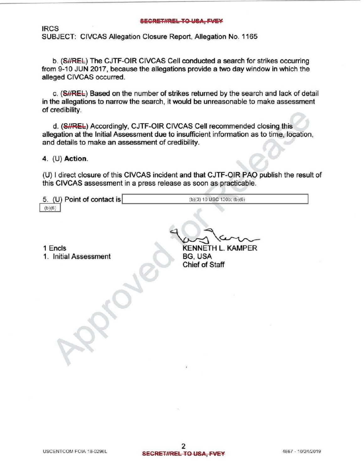## **SECRET#REL TO USA, FVEY**

IRCS SUBJECT: CIVCAS Allegation Closure Report, Allegation No. 1165

b. (S//REL) The CJTF-OIR CIVCAS Cell conducted a search for strikes occurring from 9-10 JUN 2017, because the allegations provide a two day window in which the alleged CIVCAS occurred.

c. (SHREL) Based on the number of strikes returned by the search and lack of detail in the allegations to narrow the search, it would be unreasonable to make assessment of credibility

d. (S//REL) Accordingly, CJTF-OIR CIVCAS Cell recommended closing this allegation at the Initial Assessment due to insufficient information as to time, location, and details to make an assessment of credibility.

4. (U) Action.

(U) I direct closure of this CIVCAS incident and that CJTF-OIR PAO publish the result of this CIVCAS assessment in a press release as soon as practicable.

| 5. (U) Point of contact is | $(b)(3) 10$ USC $130b$ ; $(b)(6)$ |  |
|----------------------------|-----------------------------------|--|
| (b)(6)                     |                                   |  |

 $\mathscr{C}_{\mathcal{C}}$ 

1 Encls

1. Initial Assessment

KENNETH L. KAMPER BG, USA Chief of Staff